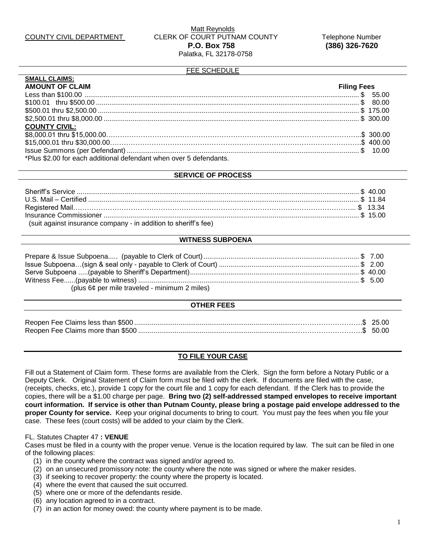#### FEE SCHEDULE

| <b>SMALL CLAIMS:</b>                                               |                    |
|--------------------------------------------------------------------|--------------------|
| <b>AMOUNT OF CLAIM</b>                                             | <b>Filing Fees</b> |
|                                                                    |                    |
|                                                                    |                    |
|                                                                    |                    |
|                                                                    |                    |
| <b>COUNTY CIVIL:</b>                                               |                    |
|                                                                    |                    |
|                                                                    |                    |
|                                                                    |                    |
| *Plus \$2.00 for each additional defendant when over 5 defendants. |                    |

#### **SERVICE OF PROCESS**

| (suit against insurance company - in addition to sheriff's fee) |  |
|-----------------------------------------------------------------|--|

## **WITNESS SUBPOENA**

| (plus $6¢$ per mile traveled - minimum 2 miles) |  |
|-------------------------------------------------|--|

#### **OTHER FEES**

## **TO FILE YOUR CASE**

Fill out a Statement of Claim form. These forms are available from the Clerk. Sign the form before a Notary Public or a Deputy Clerk. Original Statement of Claim form must be filed with the clerk. If documents are filed with the case, (receipts, checks, etc.), provide 1 copy for the court file and 1 copy for each defendant. If the Clerk has to provide the copies, there will be a \$1.00 charge per page. **Bring two (2) self-addressed stamped envelopes to receive important court information. If service is other than Putnam County, please bring a postage paid envelope addressed to the proper County for service.** Keep your original documents to bring to court. You must pay the fees when you file your case. These fees (court costs) will be added to your claim by the Clerk.

#### FL. Statutes Chapter 47 **: VENUE**

Cases must be filed in a county with the proper venue. Venue is the location required by law. The suit can be filed in one of the following places:

- (1) in the county where the contract was signed and/or agreed to.
- (2) on an unsecured promissory note: the county where the note was signed or where the maker resides.
- (3) if seeking to recover property: the county where the property is located.
- (4) where the event that caused the suit occurred.
- (5) where one or more of the defendants reside.
- (6) any location agreed to in a contract.
- (7) in an action for money owed: the county where payment is to be made.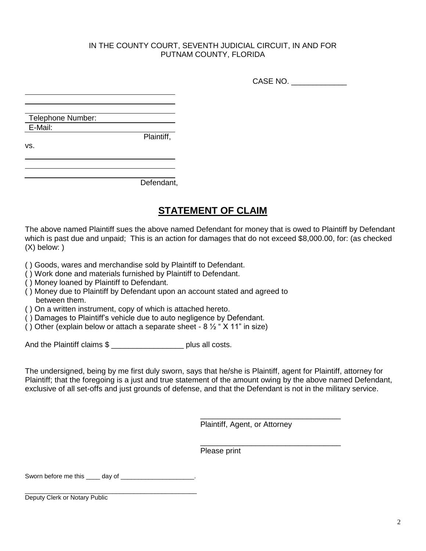## IN THE COUNTY COURT, SEVENTH JUDICIAL CIRCUIT, IN AND FOR PUTNAM COUNTY, FLORIDA

CASE NO. \_\_\_\_\_\_\_\_\_\_\_\_\_

Telephone Number: E-Mail:

vs.

Defendant,

Plaintiff,

# **STATEMENT OF CLAIM**

The above named Plaintiff sues the above named Defendant for money that is owed to Plaintiff by Defendant which is past due and unpaid; This is an action for damages that do not exceed \$8,000.00, for: (as checked (X) below: )

( ) Goods, wares and merchandise sold by Plaintiff to Defendant.

- ( ) Work done and materials furnished by Plaintiff to Defendant.
- ( ) Money loaned by Plaintiff to Defendant.
- ( ) Money due to Plaintiff by Defendant upon an account stated and agreed to between them.

( ) On a written instrument, copy of which is attached hereto.

- ( ) Damages to Plaintiff's vehicle due to auto negligence by Defendant.
- $\hat{I}$ ) Other (explain below or attach a separate sheet 8  $\frac{1}{2}$  " X 11" in size)

And the Plaintiff claims \$

The undersigned, being by me first duly sworn, says that he/she is Plaintiff, agent for Plaintiff, attorney for Plaintiff; that the foregoing is a just and true statement of the amount owing by the above named Defendant, exclusive of all set-offs and just grounds of defense, and that the Defendant is not in the military service.

Plaintiff, Agent, or Attorney

\_\_\_\_\_\_\_\_\_\_\_\_\_\_\_\_\_\_\_\_\_\_\_\_\_\_\_\_\_\_\_\_\_

\_\_\_\_\_\_\_\_\_\_\_\_\_\_\_\_\_\_\_\_\_\_\_\_\_\_\_\_\_\_\_\_\_

Please print

Sworn before me this \_\_\_\_ day of \_\_\_\_\_\_\_\_\_\_\_\_\_\_\_\_\_\_\_\_\_.

\_\_\_\_\_\_\_\_\_\_\_\_\_\_\_\_\_\_\_\_\_\_\_\_\_\_\_\_\_\_\_\_\_\_\_\_\_\_\_\_\_\_\_\_\_\_\_\_\_ Deputy Clerk or Notary Public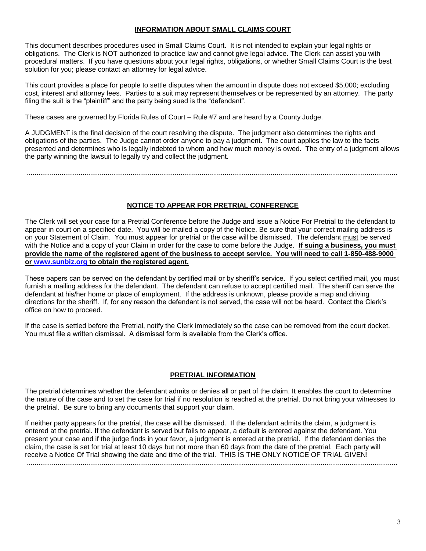## **INFORMATION ABOUT SMALL CLAIMS COURT**

This document describes procedures used in Small Claims Court. It is not intended to explain your legal rights or obligations. The Clerk is NOT authorized to practice law and cannot give legal advice. The Clerk can assist you with procedural matters. If you have questions about your legal rights, obligations, or whether Small Claims Court is the best solution for you; please contact an attorney for legal advice.

This court provides a place for people to settle disputes when the amount in dispute does not exceed \$5,000; excluding cost, interest and attorney fees. Parties to a suit may represent themselves or be represented by an attorney. The party filing the suit is the "plaintiff" and the party being sued is the "defendant".

These cases are governed by Florida Rules of Court – Rule #7 and are heard by a County Judge.

A JUDGMENT is the final decision of the court resolving the dispute. The judgment also determines the rights and obligations of the parties. The Judge cannot order anyone to pay a judgment. The court applies the law to the facts presented and determines who is legally indebted to whom and how much money is owed. The entry of a judgment allows the party winning the lawsuit to legally try and collect the judgment.

.................................................................................................................................................................................................

## **NOTICE TO APPEAR FOR PRETRIAL CONFERENCE**

The Clerk will set your case for a Pretrial Conference before the Judge and issue a Notice For Pretrial to the defendant to appear in court on a specified date. You will be mailed a copy of the Notice. Be sure that your correct mailing address is on your Statement of Claim. You must appear for pretrial or the case will be dismissed. The defendant must be served with the Notice and a copy of your Claim in order for the case to come before the Judge. **If suing a business, you must provide the name of the registered agent of the business to accept service. You will need to call 1-850-488-9000 or www.sunbiz.org to obtain the registered agent.**

These papers can be served on the defendant by certified mail or by sheriff's service. If you select certified mail, you must furnish a mailing address for the defendant. The defendant can refuse to accept certified mail. The sheriff can serve the defendant at his/her home or place of employment. If the address is unknown, please provide a map and driving directions for the sheriff. If, for any reason the defendant is not served, the case will not be heard. Contact the Clerk's office on how to proceed.

If the case is settled before the Pretrial, notify the Clerk immediately so the case can be removed from the court docket. You must file a written dismissal. A dismissal form is available from the Clerk's office.

## **PRETRIAL INFORMATION**

The pretrial determines whether the defendant admits or denies all or part of the claim. It enables the court to determine the nature of the case and to set the case for trial if no resolution is reached at the pretrial. Do not bring your witnesses to the pretrial. Be sure to bring any documents that support your claim.

If neither party appears for the pretrial, the case will be dismissed. If the defendant admits the claim, a judgment is entered at the pretrial. If the defendant is served but fails to appear, a default is entered against the defendant. You present your case and if the judge finds in your favor, a judgment is entered at the pretrial. If the defendant denies the claim, the case is set for trial at least 10 days but not more than 60 days from the date of the pretrial. Each party will receive a Notice Of Trial showing the date and time of the trial. THIS IS THE ONLY NOTICE OF TRIAL GIVEN! .................................................................................................................................................................................................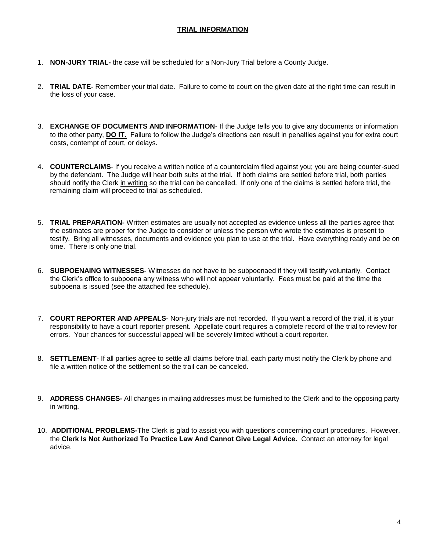## **TRIAL INFORMATION**

- 1. **NON-JURY TRIAL-** the case will be scheduled for a Non-Jury Trial before a County Judge.
- 2. **TRIAL DATE-** Remember your trial date. Failure to come to court on the given date at the right time can result in the loss of your case.
- 3. **EXCHANGE OF DOCUMENTS AND INFORMATION** If the Judge tells you to give any documents or information to the other party, **DO IT.** Failure to follow the Judge's directions can result in penalties against you for extra court costs, contempt of court, or delays.
- 4. **COUNTERCLAIMS** If you receive a written notice of a counterclaim filed against you; you are being counter-sued by the defendant. The Judge will hear both suits at the trial. If both claims are settled before trial, both parties should notify the Clerk in writing so the trial can be cancelled. If only one of the claims is settled before trial, the remaining claim will proceed to trial as scheduled.
- 5. **TRIAL PREPARATION-** Written estimates are usually not accepted as evidence unless all the parties agree that the estimates are proper for the Judge to consider or unless the person who wrote the estimates is present to testify. Bring all witnesses, documents and evidence you plan to use at the trial. Have everything ready and be on time. There is only one trial.
- 6. **SUBPOENAING WITNESSES-** Witnesses do not have to be subpoenaed if they will testify voluntarily. Contact the Clerk's office to subpoena any witness who will not appear voluntarily. Fees must be paid at the time the subpoena is issued (see the attached fee schedule).
- 7. **COURT REPORTER AND APPEALS** Non-jury trials are not recorded. If you want a record of the trial, it is your responsibility to have a court reporter present. Appellate court requires a complete record of the trial to review for errors. Your chances for successful appeal will be severely limited without a court reporter.
- 8. **SETTLEMENT** If all parties agree to settle all claims before trial, each party must notify the Clerk by phone and file a written notice of the settlement so the trail can be canceled.
- 9. **ADDRESS CHANGES-** All changes in mailing addresses must be furnished to the Clerk and to the opposing party in writing.
- 10. **ADDITIONAL PROBLEMS-**The Clerk is glad to assist you with questions concerning court procedures. However, the **Clerk Is Not Authorized To Practice Law And Cannot Give Legal Advice.** Contact an attorney for legal advice.